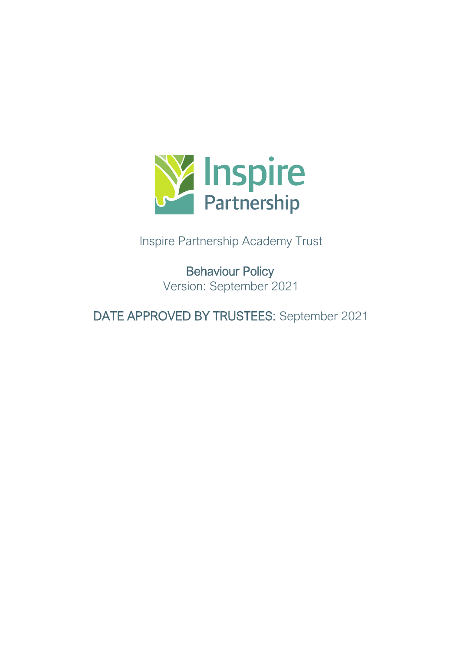

Inspire Partnership Academy Trust

Behaviour Policy Version: September 2021

DATE APPROVED BY TRUSTEES: September 2021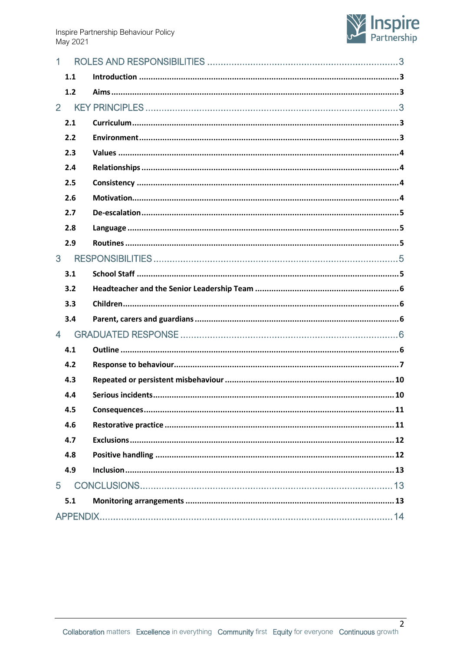

|                | 1.1   |  |
|----------------|-------|--|
|                | $1.2$ |  |
| $\overline{2}$ |       |  |
|                | 2.1   |  |
|                | 2.2   |  |
|                | 2.3   |  |
|                | 2.4   |  |
|                | 2.5   |  |
|                | 2.6   |  |
|                | 2.7   |  |
|                | 2.8   |  |
|                | 2.9   |  |
| 3              |       |  |
|                | 3.1   |  |
|                | 3.2   |  |
|                | 3.3   |  |
|                | 3.4   |  |
| $\overline{4}$ |       |  |
|                | 4.1   |  |
|                | 4.2   |  |
|                | 4.3   |  |
|                | 4.4   |  |
|                | 4.5   |  |
|                | 4.6   |  |
|                | 4.7   |  |
|                | 4.8   |  |
|                | 4.9   |  |
| 5              |       |  |
|                | 5.1   |  |
|                |       |  |

 $\overline{2}$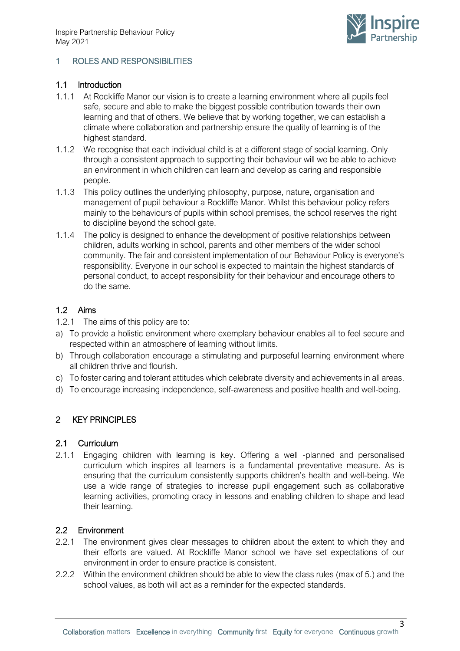

# <span id="page-2-0"></span>1 ROLES AND RESPONSIBILITIES

### <span id="page-2-1"></span>1.1 Introduction

- 1.1.1 At Rockliffe Manor our vision is to create a learning environment where all pupils feel safe, secure and able to make the biggest possible contribution towards their own learning and that of others. We believe that by working together, we can establish a climate where collaboration and partnership ensure the quality of learning is of the highest standard.
- 1.1.2 We recognise that each individual child is at a different stage of social learning. Only through a consistent approach to supporting their behaviour will we be able to achieve an environment in which children can learn and develop as caring and responsible people.
- 1.1.3 This policy outlines the underlying philosophy, purpose, nature, organisation and management of pupil behaviour a Rockliffe Manor. Whilst this behaviour policy refers mainly to the behaviours of pupils within school premises, the school reserves the right to discipline beyond the school gate.
- 1.1.4 The policy is designed to enhance the development of positive relationships between children, adults working in school, parents and other members of the wider school community. The fair and consistent implementation of our Behaviour Policy is everyone's responsibility. Everyone in our school is expected to maintain the highest standards of personal conduct, to accept responsibility for their behaviour and encourage others to do the same.

## <span id="page-2-2"></span>1.2 Aims

- 1.2.1 The aims of this policy are to:
- a) To provide a holistic environment where exemplary behaviour enables all to feel secure and respected within an atmosphere of learning without limits.
- b) Through collaboration encourage a stimulating and purposeful learning environment where all children thrive and flourish.
- c) To foster caring and tolerant attitudes which celebrate diversity and achievements in all areas.
- d) To encourage increasing independence, self-awareness and positive health and well-being.

## <span id="page-2-3"></span>2 KEY PRINCIPLES

#### <span id="page-2-4"></span>2.1 Curriculum

2.1.1 Engaging children with learning is key. Offering a well -planned and personalised curriculum which inspires all learners is a fundamental preventative measure. As is ensuring that the curriculum consistently supports children's health and well-being. We use a wide range of strategies to increase pupil engagement such as collaborative learning activities, promoting oracy in lessons and enabling children to shape and lead their learning.

#### <span id="page-2-5"></span>2.2 Environment

- 2.2.1 The environment gives clear messages to children about the extent to which they and their efforts are valued. At Rockliffe Manor school we have set expectations of our environment in order to ensure practice is consistent.
- 2.2.2 Within the environment children should be able to view the class rules (max of 5.) and the school values, as both will act as a reminder for the expected standards.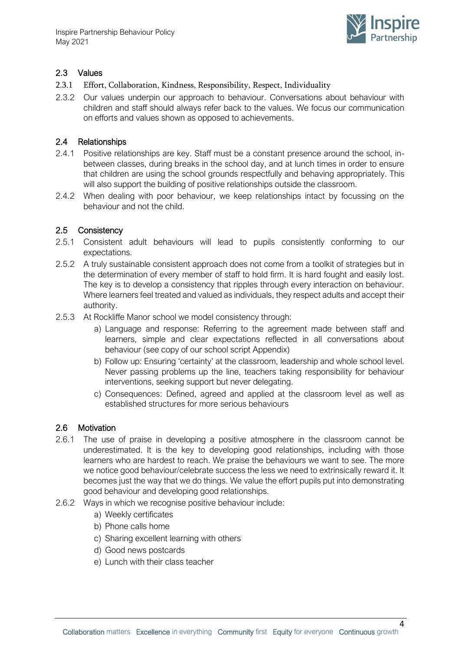

# <span id="page-3-0"></span>2.3 Values

- 2.3.1 Effort, Collaboration, Kindness, Responsibility, Respect, Individuality
- 2.3.2 Our values underpin our approach to behaviour. Conversations about behaviour with children and staff should always refer back to the values. We focus our communication on efforts and values shown as opposed to achievements.

## <span id="page-3-1"></span>2.4 Relationships

- 2.4.1 Positive relationships are key. Staff must be a constant presence around the school, inbetween classes, during breaks in the school day, and at lunch times in order to ensure that children are using the school grounds respectfully and behaving appropriately. This will also support the building of positive relationships outside the classroom.
- 2.4.2 When dealing with poor behaviour, we keep relationships intact by focussing on the behaviour and not the child.

## <span id="page-3-2"></span>2.5 Consistency

- 2.5.1 Consistent adult behaviours will lead to pupils consistently conforming to our expectations.
- 2.5.2 A truly sustainable consistent approach does not come from a toolkit of strategies but in the determination of every member of staff to hold firm. It is hard fought and easily lost. The key is to develop a consistency that ripples through every interaction on behaviour. Where learners feel treated and valued as individuals, they respect adults and accept their authority.
- 2.5.3 At Rockliffe Manor school we model consistency through:
	- a) Language and response: Referring to the agreement made between staff and learners, simple and clear expectations reflected in all conversations about behaviour (see copy of our school script Appendix)
	- b) Follow up: Ensuring 'certainty' at the classroom, leadership and whole school level. Never passing problems up the line, teachers taking responsibility for behaviour interventions, seeking support but never delegating.
	- c) Consequences: Defined, agreed and applied at the classroom level as well as established structures for more serious behaviours

#### <span id="page-3-3"></span>2.6 Motivation

- 2.6.1 The use of praise in developing a positive atmosphere in the classroom cannot be underestimated. It is the key to developing good relationships, including with those learners who are hardest to reach. We praise the behaviours we want to see. The more we notice good behaviour/celebrate success the less we need to extrinsically reward it. It becomes just the way that we do things. We value the effort pupils put into demonstrating good behaviour and developing good relationships.
- 2.6.2 Ways in which we recognise positive behaviour include:
	- a) Weekly certificates
	- b) Phone calls home
	- c) Sharing excellent learning with others
	- d) Good news postcards
	- e) Lunch with their class teacher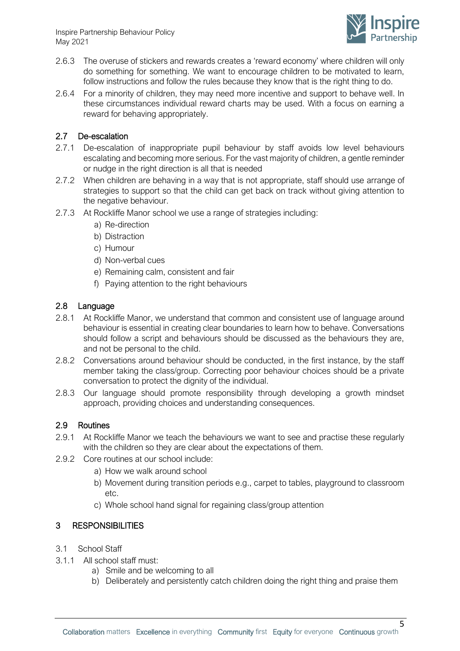

- 2.6.3 The overuse of stickers and rewards creates a 'reward economy' where children will only do something for something. We want to encourage children to be motivated to learn, follow instructions and follow the rules because they know that is the right thing to do.
- 2.6.4 For a minority of children, they may need more incentive and support to behave well. In these circumstances individual reward charts may be used. With a focus on earning a reward for behaving appropriately.

# <span id="page-4-0"></span>2.7 De-escalation

- 2.7.1 De-escalation of inappropriate pupil behaviour by staff avoids low level behaviours escalating and becoming more serious. For the vast majority of children, a gentle reminder or nudge in the right direction is all that is needed
- 2.7.2 When children are behaving in a way that is not appropriate, staff should use arrange of strategies to support so that the child can get back on track without giving attention to the negative behaviour.
- 2.7.3 At Rockliffe Manor school we use a range of strategies including:
	- a) Re-direction
	- b) Distraction
	- c) Humour
	- d) Non-verbal cues
	- e) Remaining calm, consistent and fair
	- f) Paying attention to the right behaviours

## <span id="page-4-1"></span>2.8 Language

- 2.8.1 At Rockliffe Manor, we understand that common and consistent use of language around behaviour is essential in creating clear boundaries to learn how to behave. Conversations should follow a script and behaviours should be discussed as the behaviours they are, and not be personal to the child.
- 2.8.2 Conversations around behaviour should be conducted, in the first instance, by the staff member taking the class/group. Correcting poor behaviour choices should be a private conversation to protect the dignity of the individual.
- 2.8.3 Our language should promote responsibility through developing a growth mindset approach, providing choices and understanding consequences.

## <span id="page-4-2"></span>2.9 Routines

- 2.9.1 At Rockliffe Manor we teach the behaviours we want to see and practise these regularly with the children so they are clear about the expectations of them.
- 2.9.2 Core routines at our school include:
	- a) How we walk around school
	- b) Movement during transition periods e.g., carpet to tables, playground to classroom etc.
	- c) Whole school hand signal for regaining class/group attention

## <span id="page-4-3"></span>3 RESPONSIBILITIES

- <span id="page-4-4"></span>3.1 School Staff
- 3.1.1 All school staff must:
	- a) Smile and be welcoming to all
	- b) Deliberately and persistently catch children doing the right thing and praise them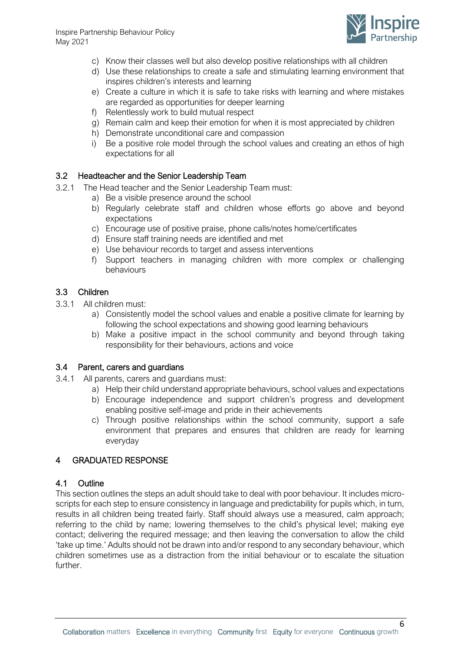

- c) Know their classes well but also develop positive relationships with all children
- d) Use these relationships to create a safe and stimulating learning environment that inspires children's interests and learning
- e) Create a culture in which it is safe to take risks with learning and where mistakes are regarded as opportunities for deeper learning
- f) Relentlessly work to build mutual respect
- g) Remain calm and keep their emotion for when it is most appreciated by children
- h) Demonstrate unconditional care and compassion
- i) Be a positive role model through the school values and creating an ethos of high expectations for all

## <span id="page-5-0"></span>3.2 Headteacher and the Senior Leadership Team

- 3.2.1 The Head teacher and the Senior Leadership Team must:
	- a) Be a visible presence around the school
	- b) Regularly celebrate staff and children whose efforts go above and beyond expectations
	- c) Encourage use of positive praise, phone calls/notes home/certificates
	- d) Ensure staff training needs are identified and met
	- e) Use behaviour records to target and assess interventions
	- f) Support teachers in managing children with more complex or challenging behaviours

## <span id="page-5-1"></span>3.3 Children

- 3.3.1 All children must:
	- a) Consistently model the school values and enable a positive climate for learning by following the school expectations and showing good learning behaviours
	- b) Make a positive impact in the school community and beyond through taking responsibility for their behaviours, actions and voice

#### <span id="page-5-2"></span>3.4 Parent, carers and guardians

- 3.4.1 All parents, carers and guardians must:
	- a) Help their child understand appropriate behaviours, school values and expectations
	- b) Encourage independence and support children's progress and development enabling positive self-image and pride in their achievements
	- c) Through positive relationships within the school community, support a safe environment that prepares and ensures that children are ready for learning everyday

## <span id="page-5-3"></span>4 GRADUATED RESPONSE

#### <span id="page-5-4"></span>4.1 Outline

This section outlines the steps an adult should take to deal with poor behaviour. It includes microscripts for each step to ensure consistency in language and predictability for pupils which, in turn, results in all children being treated fairly. Staff should always use a measured, calm approach; referring to the child by name; lowering themselves to the child's physical level; making eye contact; delivering the required message; and then leaving the conversation to allow the child 'take up time.' Adults should not be drawn into and/or respond to any secondary behaviour, which children sometimes use as a distraction from the initial behaviour or to escalate the situation further.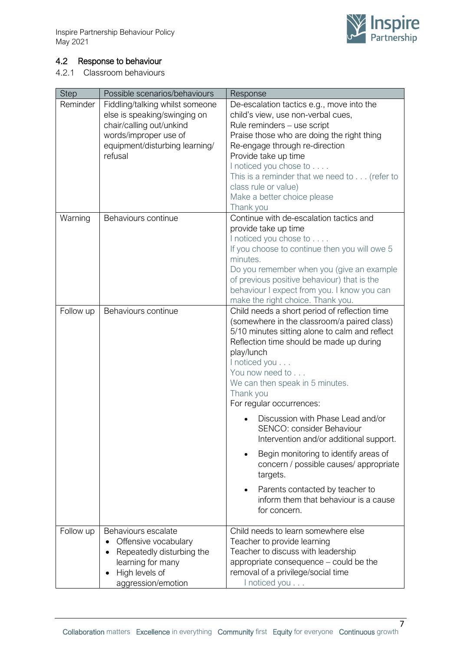

# <span id="page-6-0"></span>4.2 Response to behaviour

4.2.1 Classroom behaviours

| <b>Step</b> | Possible scenarios/behaviours   | Response                                                                                      |
|-------------|---------------------------------|-----------------------------------------------------------------------------------------------|
| Reminder    | Fiddling/talking whilst someone | De-escalation tactics e.g., move into the                                                     |
|             | else is speaking/swinging on    | child's view, use non-verbal cues,                                                            |
|             | chair/calling out/unkind        | Rule reminders - use script                                                                   |
|             | words/improper use of           | Praise those who are doing the right thing                                                    |
|             | equipment/disturbing learning/  | Re-engage through re-direction                                                                |
|             | refusal                         | Provide take up time                                                                          |
|             |                                 | I noticed you chose to                                                                        |
|             |                                 | This is a reminder that we need to $\ldots$ (refer to                                         |
|             |                                 | class rule or value)                                                                          |
|             |                                 | Make a better choice please                                                                   |
|             |                                 | Thank you                                                                                     |
| Warning     | Behaviours continue             | Continue with de-escalation tactics and                                                       |
|             |                                 | provide take up time                                                                          |
|             |                                 | I noticed you chose to                                                                        |
|             |                                 | If you choose to continue then you will owe 5                                                 |
|             |                                 | minutes.                                                                                      |
|             |                                 | Do you remember when you (give an example                                                     |
|             |                                 | of previous positive behaviour) that is the                                                   |
|             |                                 | behaviour I expect from you. I know you can                                                   |
|             |                                 | make the right choice. Thank you.                                                             |
| Follow up   | Behaviours continue             | Child needs a short period of reflection time                                                 |
|             |                                 | (somewhere in the classroom/a paired class)<br>5/10 minutes sitting alone to calm and reflect |
|             |                                 | Reflection time should be made up during                                                      |
|             |                                 | play/lunch                                                                                    |
|             |                                 | I noticed you                                                                                 |
|             |                                 | You now need to                                                                               |
|             |                                 | We can then speak in 5 minutes.                                                               |
|             |                                 | Thank you                                                                                     |
|             |                                 | For regular occurrences:                                                                      |
|             |                                 |                                                                                               |
|             |                                 | Discussion with Phase Lead and/or                                                             |
|             |                                 | SENCO: consider Behaviour                                                                     |
|             |                                 | Intervention and/or additional support.                                                       |
|             |                                 | Begin monitoring to identify areas of                                                         |
|             |                                 | concern / possible causes/ appropriate                                                        |
|             |                                 | targets.                                                                                      |
|             |                                 | Parents contacted by teacher to                                                               |
|             |                                 | inform them that behaviour is a cause                                                         |
|             |                                 | for concern.                                                                                  |
|             |                                 |                                                                                               |
| Follow up   | Behaviours escalate             | Child needs to learn somewhere else                                                           |
|             | Offensive vocabulary            | Teacher to provide learning                                                                   |
|             | Repeatedly disturbing the       | Teacher to discuss with leadership                                                            |
|             | learning for many               | appropriate consequence – could be the                                                        |
|             | High levels of                  | removal of a privilege/social time                                                            |
|             | aggression/emotion              | I noticed you                                                                                 |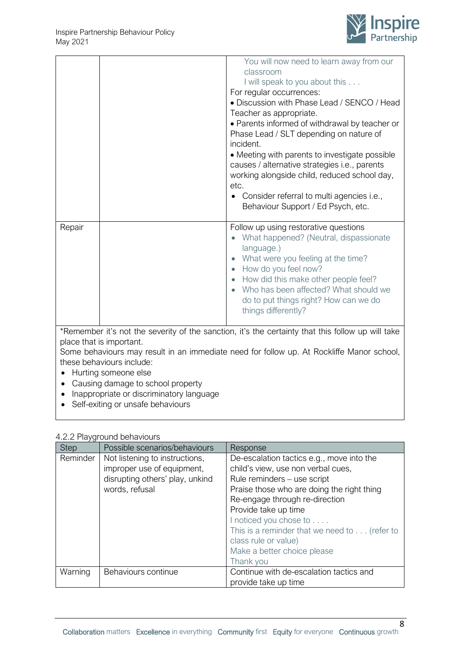

|                                                                                                                                                                                                                                                                                                                                                                  |  | You will now need to learn away from our<br>classroom<br>I will speak to you about this<br>For regular occurrences:<br>• Discussion with Phase Lead / SENCO / Head<br>Teacher as appropriate.<br>• Parents informed of withdrawal by teacher or<br>Phase Lead / SLT depending on nature of<br>incident.<br>• Meeting with parents to investigate possible<br>causes / alternative strategies i.e., parents<br>working alongside child, reduced school day,<br>etc.<br>Consider referral to multi agencies i.e.,<br>Behaviour Support / Ed Psych, etc. |
|------------------------------------------------------------------------------------------------------------------------------------------------------------------------------------------------------------------------------------------------------------------------------------------------------------------------------------------------------------------|--|-------------------------------------------------------------------------------------------------------------------------------------------------------------------------------------------------------------------------------------------------------------------------------------------------------------------------------------------------------------------------------------------------------------------------------------------------------------------------------------------------------------------------------------------------------|
| Repair                                                                                                                                                                                                                                                                                                                                                           |  | Follow up using restorative questions<br>What happened? (Neutral, dispassionate<br>language.)<br>What were you feeling at the time?<br>How do you feel now?<br>How did this make other people feel?<br>Who has been affected? What should we<br>do to put things right? How can we do<br>things differently?                                                                                                                                                                                                                                          |
| *Remember it's not the severity of the sanction, it's the certainty that this follow up will take<br>place that is important.<br>Some behaviours may result in an immediate need for follow up. At Rockliffe Manor school,<br>these behaviours include:<br>Hurting someone else<br>Causing damage to school property<br>Inappropriate or discriminatory language |  |                                                                                                                                                                                                                                                                                                                                                                                                                                                                                                                                                       |

• Self-exiting or unsafe behaviours

|  |  | 4.2.2 Playground behaviours |  |
|--|--|-----------------------------|--|
|--|--|-----------------------------|--|

| <b>Step</b> | Possible scenarios/behaviours                                                                                     | Response                                                                                                                                                                                                                                                                                                                                                             |
|-------------|-------------------------------------------------------------------------------------------------------------------|----------------------------------------------------------------------------------------------------------------------------------------------------------------------------------------------------------------------------------------------------------------------------------------------------------------------------------------------------------------------|
| Reminder    | Not listening to instructions,<br>improper use of equipment,<br>disrupting others' play, unkind<br>words, refusal | De-escalation tactics e.g., move into the<br>child's view, use non verbal cues,<br>Rule reminders - use script<br>Praise those who are doing the right thing<br>Re-engage through re-direction<br>Provide take up time<br>I noticed you chose to<br>This is a reminder that we need to (refer to<br>class rule or value)<br>Make a better choice please<br>Thank you |
| Warning     | Behaviours continue                                                                                               | Continue with de-escalation tactics and<br>provide take up time                                                                                                                                                                                                                                                                                                      |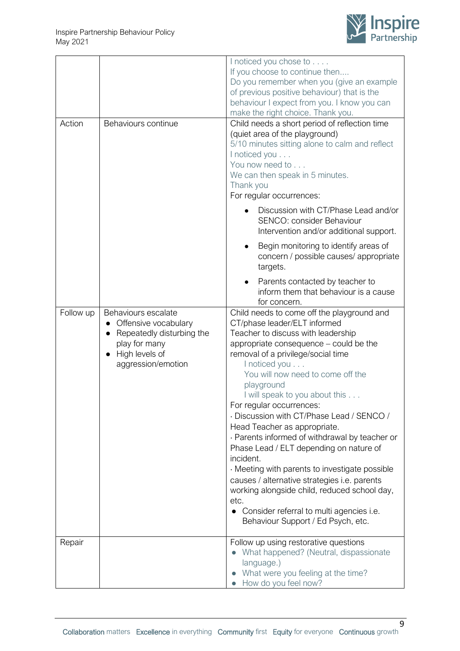

|           |                           | I noticed you chose to                                                                                       |
|-----------|---------------------------|--------------------------------------------------------------------------------------------------------------|
|           |                           | If you choose to continue then                                                                               |
|           |                           | Do you remember when you (give an example                                                                    |
|           |                           | of previous positive behaviour) that is the                                                                  |
|           |                           | behaviour I expect from you. I know you can                                                                  |
|           |                           | make the right choice. Thank you.                                                                            |
| Action    | Behaviours continue       | Child needs a short period of reflection time<br>(quiet area of the playground)                              |
|           |                           | 5/10 minutes sitting alone to calm and reflect                                                               |
|           |                           | I noticed you                                                                                                |
|           |                           | You now need to                                                                                              |
|           |                           | We can then speak in 5 minutes.                                                                              |
|           |                           | Thank you                                                                                                    |
|           |                           | For regular occurrences:                                                                                     |
|           |                           | Discussion with CT/Phase Lead and/or<br>SENCO: consider Behaviour<br>Intervention and/or additional support. |
|           |                           | Begin monitoring to identify areas of<br>concern / possible causes/ appropriate<br>targets.                  |
|           |                           | Parents contacted by teacher to<br>inform them that behaviour is a cause<br>for concern.                     |
| Follow up | Behaviours escalate       | Child needs to come off the playground and                                                                   |
|           | Offensive vocabulary      | CT/phase leader/ELT informed                                                                                 |
|           | Repeatedly disturbing the | Teacher to discuss with leadership                                                                           |
|           | play for many             | appropriate consequence - could be the                                                                       |
|           | High levels of            | removal of a privilege/social time                                                                           |
|           | aggression/emotion        | I noticed you<br>You will now need to come off the                                                           |
|           |                           | playground                                                                                                   |
|           |                           | I will speak to you about this                                                                               |
|           |                           | For regular occurrences:                                                                                     |
|           |                           | · Discussion with CT/Phase Lead / SENCO /                                                                    |
|           |                           | Head Teacher as appropriate.                                                                                 |
|           |                           | · Parents informed of withdrawal by teacher or                                                               |
|           |                           | Phase Lead / ELT depending on nature of<br>incident.                                                         |
|           |                           | . Meeting with parents to investigate possible                                                               |
|           |                           | causes / alternative strategies i.e. parents                                                                 |
|           |                           | working alongside child, reduced school day,                                                                 |
|           |                           | etc.                                                                                                         |
|           |                           | • Consider referral to multi agencies i.e.                                                                   |
|           |                           | Behaviour Support / Ed Psych, etc.                                                                           |
| Repair    |                           | Follow up using restorative questions                                                                        |
|           |                           | What happened? (Neutral, dispassionate                                                                       |
|           |                           | language.)                                                                                                   |
|           |                           | What were you feeling at the time?                                                                           |
|           |                           | How do you feel now?                                                                                         |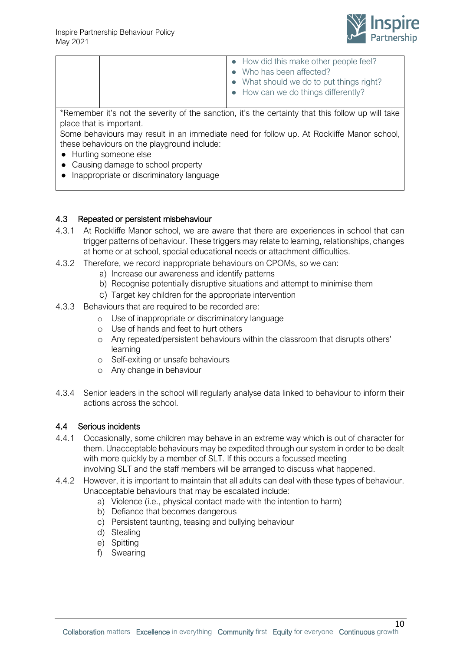

|  | • How did this make other people feel?<br>• Who has been affected?<br>• What should we do to put things right?<br>• How can we do things differently? |
|--|-------------------------------------------------------------------------------------------------------------------------------------------------------|
|  |                                                                                                                                                       |

\*Remember it's not the severity of the sanction, it's the certainty that this follow up will take place that is important.

Some behaviours may result in an immediate need for follow up. At Rockliffe Manor school, these behaviours on the playground include:

- Hurting someone else
- Causing damage to school property
- Inappropriate or discriminatory language

### <span id="page-9-0"></span>4.3 Repeated or persistent misbehaviour

- 4.3.1 At Rockliffe Manor school, we are aware that there are experiences in school that can trigger patterns of behaviour. These triggers may relate to learning, relationships, changes at home or at school, special educational needs or attachment difficulties.
- 4.3.2 Therefore, we record inappropriate behaviours on CPOMs, so we can:
	- a) Increase our awareness and identify patterns
	- b) Recognise potentially disruptive situations and attempt to minimise them
	- c) Target key children for the appropriate intervention
- 4.3.3 Behaviours that are required to be recorded are:
	- o Use of inappropriate or discriminatory language
	- o Use of hands and feet to hurt others
	- o Any repeated/persistent behaviours within the classroom that disrupts others' learning
	- o Self-exiting or unsafe behaviours
	- o Any change in behaviour
- 4.3.4 Senior leaders in the school will regularly analyse data linked to behaviour to inform their actions across the school.

#### <span id="page-9-1"></span>4.4 Serious incidents

- 4.4.1 Occasionally, some children may behave in an extreme way which is out of character for them. Unacceptable behaviours may be expedited through our system in order to be dealt with more quickly by a member of SLT. If this occurs a focussed meeting involving SLT and the staff members will be arranged to discuss what happened.
- 4.4.2 However, it is important to maintain that all adults can deal with these types of behaviour. Unacceptable behaviours that may be escalated include:
	- a) Violence (i.e., physical contact made with the intention to harm)
	- b) Defiance that becomes dangerous
	- c) Persistent taunting, teasing and bullying behaviour
	- d) Stealing
	- e) Spitting
	- f) Swearing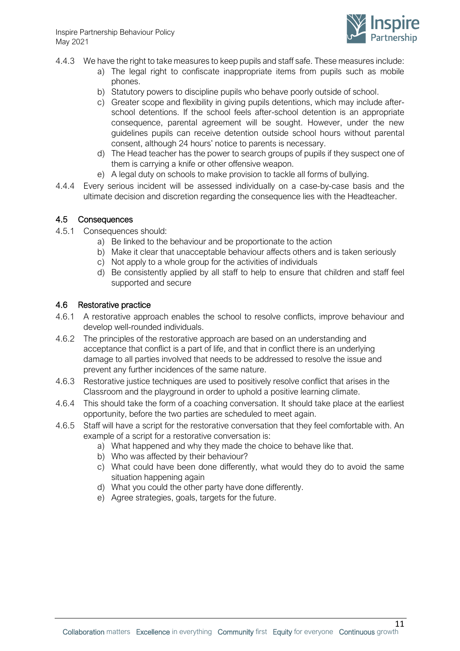

- 4.4.3 We have the right to take measures to keep pupils and staff safe. These measures include:
	- a) The legal right to confiscate inappropriate items from pupils such as mobile phones.
	- b) Statutory powers to discipline pupils who behave poorly outside of school.
	- c) Greater scope and flexibility in giving pupils detentions, which may include afterschool detentions. If the school feels after-school detention is an appropriate consequence, parental agreement will be sought. However, under the new guidelines pupils can receive detention outside school hours without parental consent, although 24 hours' notice to parents is necessary.
	- d) The Head teacher has the power to search groups of pupils if they suspect one of them is carrying a knife or other offensive weapon.
	- e) A legal duty on schools to make provision to tackle all forms of bullying.
- 4.4.4 Every serious incident will be assessed individually on a case-by-case basis and the ultimate decision and discretion regarding the consequence lies with the Headteacher.

### <span id="page-10-0"></span>4.5 Consequences

- 4.5.1 Consequences should:
	- a) Be linked to the behaviour and be proportionate to the action
	- b) Make it clear that unacceptable behaviour affects others and is taken seriously
	- c) Not apply to a whole group for the activities of individuals
	- d) Be consistently applied by all staff to help to ensure that children and staff feel supported and secure

### <span id="page-10-1"></span>4.6 Restorative practice

- 4.6.1 A restorative approach enables the school to resolve conflicts, improve behaviour and develop well-rounded individuals.
- 4.6.2 The principles of the restorative approach are based on an understanding and acceptance that conflict is a part of life, and that in conflict there is an underlying damage to all parties involved that needs to be addressed to resolve the issue and prevent any further incidences of the same nature.
- 4.6.3 Restorative justice techniques are used to positively resolve conflict that arises in the Classroom and the playground in order to uphold a positive learning climate.
- 4.6.4 This should take the form of a coaching conversation. It should take place at the earliest opportunity, before the two parties are scheduled to meet again.
- 4.6.5 Staff will have a script for the restorative conversation that they feel comfortable with. An example of a script for a restorative conversation is:
	- a) What happened and why they made the choice to behave like that.
	- b) Who was affected by their behaviour?
	- c) What could have been done differently, what would they do to avoid the same situation happening again
	- d) What you could the other party have done differently.
	- e) Agree strategies, goals, targets for the future.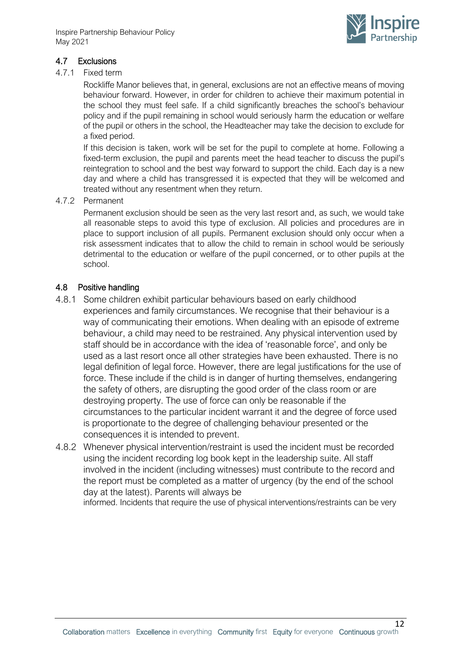

# <span id="page-11-0"></span>4.7 Exclusions

### 4.7.1 Fixed term

Rockliffe Manor believes that, in general, exclusions are not an effective means of moving behaviour forward. However, in order for children to achieve their maximum potential in the school they must feel safe. If a child significantly breaches the school's behaviour policy and if the pupil remaining in school would seriously harm the education or welfare of the pupil or others in the school, the Headteacher may take the decision to exclude for a fixed period.

If this decision is taken, work will be set for the pupil to complete at home. Following a fixed-term exclusion, the pupil and parents meet the head teacher to discuss the pupil's reintegration to school and the best way forward to support the child. Each day is a new day and where a child has transgressed it is expected that they will be welcomed and treated without any resentment when they return.

### 4.7.2 Permanent

Permanent exclusion should be seen as the very last resort and, as such, we would take all reasonable steps to avoid this type of exclusion. All policies and procedures are in place to support inclusion of all pupils. Permanent exclusion should only occur when a risk assessment indicates that to allow the child to remain in school would be seriously detrimental to the education or welfare of the pupil concerned, or to other pupils at the school.

## <span id="page-11-1"></span>4.8 Positive handling

- 4.8.1 Some children exhibit particular behaviours based on early childhood experiences and family circumstances. We recognise that their behaviour is a way of communicating their emotions. When dealing with an episode of extreme behaviour, a child may need to be restrained. Any physical intervention used by staff should be in accordance with the idea of 'reasonable force', and only be used as a last resort once all other strategies have been exhausted. There is no legal definition of legal force. However, there are legal justifications for the use of force. These include if the child is in danger of hurting themselves, endangering the safety of others, are disrupting the good order of the class room or are destroying property. The use of force can only be reasonable if the circumstances to the particular incident warrant it and the degree of force used is proportionate to the degree of challenging behaviour presented or the consequences it is intended to prevent.
- 4.8.2 Whenever physical intervention/restraint is used the incident must be recorded using the incident recording log book kept in the leadership suite. All staff involved in the incident (including witnesses) must contribute to the record and the report must be completed as a matter of urgency (by the end of the school day at the latest). Parents will always be

informed. Incidents that require the use of physical interventions/restraints can be very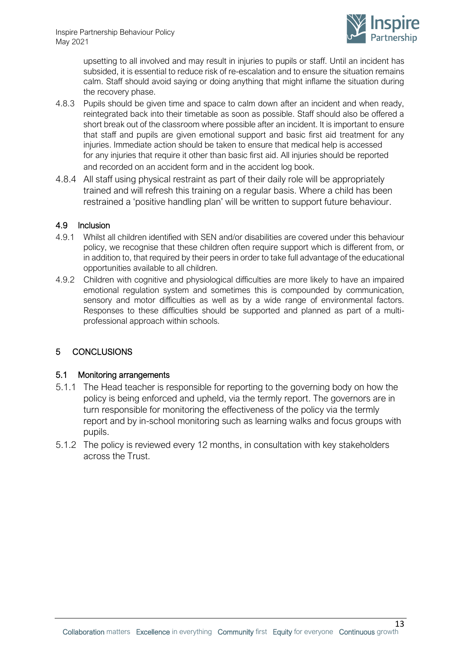

upsetting to all involved and may result in injuries to pupils or staff. Until an incident has subsided, it is essential to reduce risk of re-escalation and to ensure the situation remains calm. Staff should avoid saying or doing anything that might inflame the situation during the recovery phase.

- 4.8.3 Pupils should be given time and space to calm down after an incident and when ready, reintegrated back into their timetable as soon as possible. Staff should also be offered a short break out of the classroom where possible after an incident. It is important to ensure that staff and pupils are given emotional support and basic first aid treatment for any injuries. Immediate action should be taken to ensure that medical help is accessed for any injuries that require it other than basic first aid. All injuries should be reported and recorded on an accident form and in the accident log book.
- 4.8.4 All staff using physical restraint as part of their daily role will be appropriately trained and will refresh this training on a regular basis. Where a child has been restrained a 'positive handling plan' will be written to support future behaviour.

## <span id="page-12-0"></span>4.9 Inclusion

- 4.9.1 Whilst all children identified with SEN and/or disabilities are covered under this behaviour policy, we recognise that these children often require support which is different from, or in addition to, that required by their peers in order to take full advantage of the educational opportunities available to all children.
- 4.9.2 Children with cognitive and physiological difficulties are more likely to have an impaired emotional regulation system and sometimes this is compounded by communication, sensory and motor difficulties as well as by a wide range of environmental factors. Responses to these difficulties should be supported and planned as part of a multiprofessional approach within schools.

## <span id="page-12-1"></span>5 CONCLUSIONS

#### <span id="page-12-2"></span>5.1 Monitoring arrangements

- 5.1.1 The Head teacher is responsible for reporting to the governing body on how the policy is being enforced and upheld, via the termly report. The governors are in turn responsible for monitoring the effectiveness of the policy via the termly report and by in-school monitoring such as learning walks and focus groups with pupils.
- 5.1.2 The policy is reviewed every 12 months, in consultation with key stakeholders across the Trust.